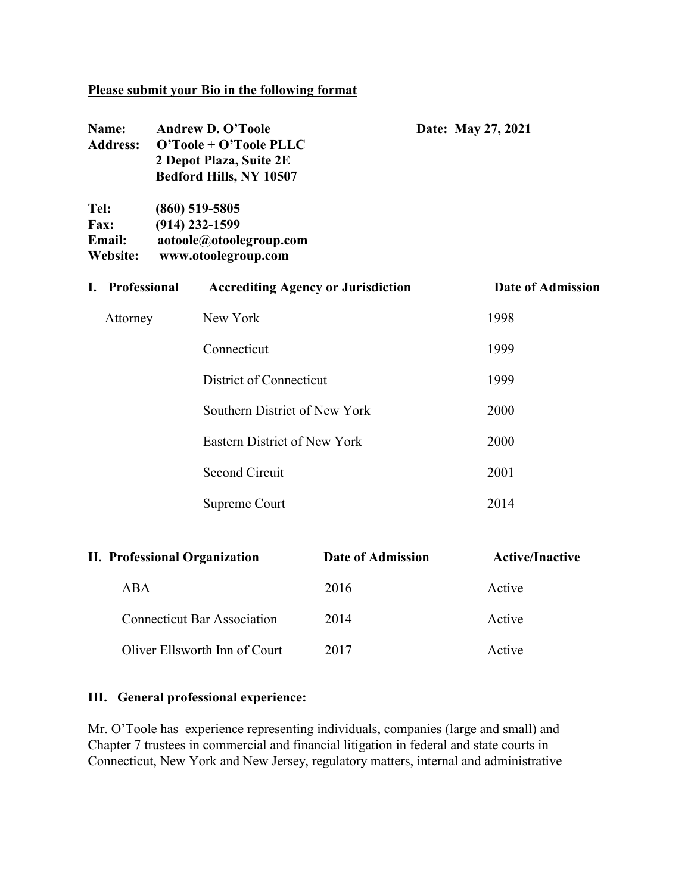### **Please submit your Bio in the following format**

| Name:                         | <b>Address:</b> | <b>Andrew D. O'Toole</b><br>O'Toole + O'Toole PLLC<br>2 Depot Plaza, Suite 2E<br>Bedford Hills, NY 10507 | Date: May 27, 2021       |
|-------------------------------|-----------------|----------------------------------------------------------------------------------------------------------|--------------------------|
| Tel:<br><b>Fax:</b><br>Email: | Website:        | $(860)$ 519-5805<br>$(914)$ 232-1599<br>aotoole@otoolegroup.com<br>www.otoolegroup.com                   |                          |
| L.                            | Professional    | <b>Accrediting Agency or Jurisdiction</b>                                                                | <b>Date of Admission</b> |
|                               | Attorney        | New York                                                                                                 | 1998                     |
|                               |                 | Connecticut                                                                                              | 1999                     |
|                               |                 | District of Connecticut                                                                                  | 1999                     |
|                               |                 | Southern District of New York                                                                            | 2000                     |
|                               |                 | <b>Eastern District of New York</b>                                                                      | 2000                     |
|                               |                 | <b>Second Circuit</b>                                                                                    | 2001                     |
|                               |                 | Supreme Court                                                                                            | 2014                     |
|                               |                 |                                                                                                          |                          |

| <b>II. Professional Organization</b> | Date of Admission | <b>Active/Inactive</b> |
|--------------------------------------|-------------------|------------------------|
| ABA                                  | 2016              | Active                 |
| <b>Connecticut Bar Association</b>   | 2014              | Active                 |
| Oliver Ellsworth Inn of Court        | 2017              | Active                 |

### **III. General professional experience:**

Mr. O'Toole has experience representing individuals, companies (large and small) and Chapter 7 trustees in commercial and financial litigation in federal and state courts in Connecticut, New York and New Jersey, regulatory matters, internal and administrative